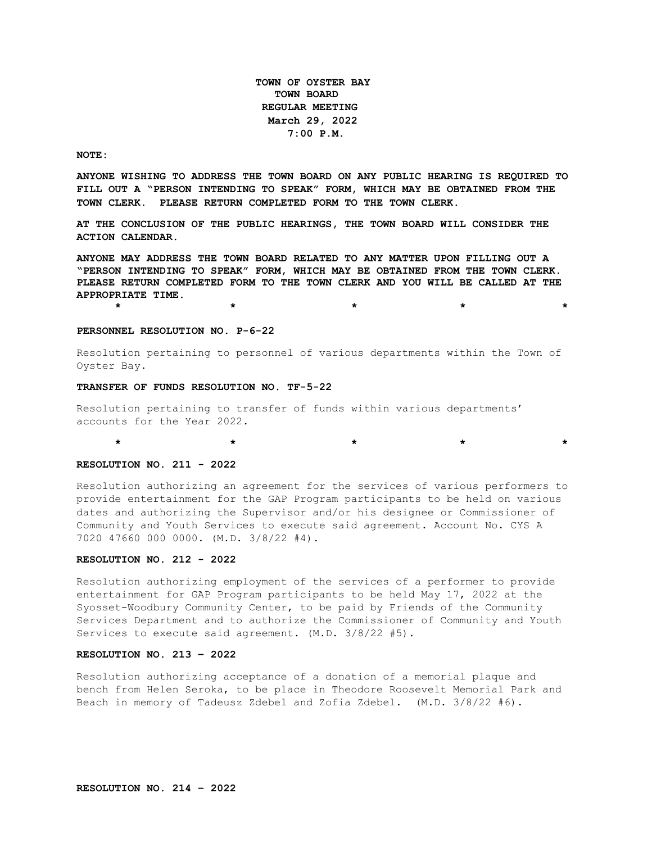**TOWN OF OYSTER BAY TOWN BOARD REGULAR MEETING March 29, 2022 7:00 P.M.** 

#### **NOTE:**

**ANYONE WISHING TO ADDRESS THE TOWN BOARD ON ANY PUBLIC HEARING IS REQUIRED TO FILL OUT A "PERSON INTENDING TO SPEAK" FORM, WHICH MAY BE OBTAINED FROM THE TOWN CLERK. PLEASE RETURN COMPLETED FORM TO THE TOWN CLERK.**

**AT THE CONCLUSION OF THE PUBLIC HEARINGS, THE TOWN BOARD WILL CONSIDER THE ACTION CALENDAR.**

**ANYONE MAY ADDRESS THE TOWN BOARD RELATED TO ANY MATTER UPON FILLING OUT A "PERSON INTENDING TO SPEAK" FORM, WHICH MAY BE OBTAINED FROM THE TOWN CLERK. PLEASE RETURN COMPLETED FORM TO THE TOWN CLERK AND YOU WILL BE CALLED AT THE APPROPRIATE TIME.**

**\* \* \* \* \***

**PERSONNEL RESOLUTION NO. P-6-22**

Resolution pertaining to personnel of various departments within the Town of Oyster Bay.

### **TRANSFER OF FUNDS RESOLUTION NO. TF-5-22**

Resolution pertaining to transfer of funds within various departments' accounts for the Year 2022.

# **RESOLUTION NO. 211 - 2022**

Resolution authorizing an agreement for the services of various performers to provide entertainment for the GAP Program participants to be held on various dates and authorizing the Supervisor and/or his designee or Commissioner of Community and Youth Services to execute said agreement. Account No. CYS A 7020 47660 000 0000. (M.D. 3/8/22 #4).

\* \* \* \* \* \* \* \* \* \* \* \*

## **RESOLUTION NO. 212 - 2022**

Resolution authorizing employment of the services of a performer to provide entertainment for GAP Program participants to be held May 17, 2022 at the Syosset-Woodbury Community Center, to be paid by Friends of the Community Services Department and to authorize the Commissioner of Community and Youth Services to execute said agreement. (M.D. 3/8/22 #5).

## **RESOLUTION NO. 213 – 2022**

Resolution authorizing acceptance of a donation of a memorial plaque and bench from Helen Seroka, to be place in Theodore Roosevelt Memorial Park and Beach in memory of Tadeusz Zdebel and Zofia Zdebel. (M.D. 3/8/22 #6).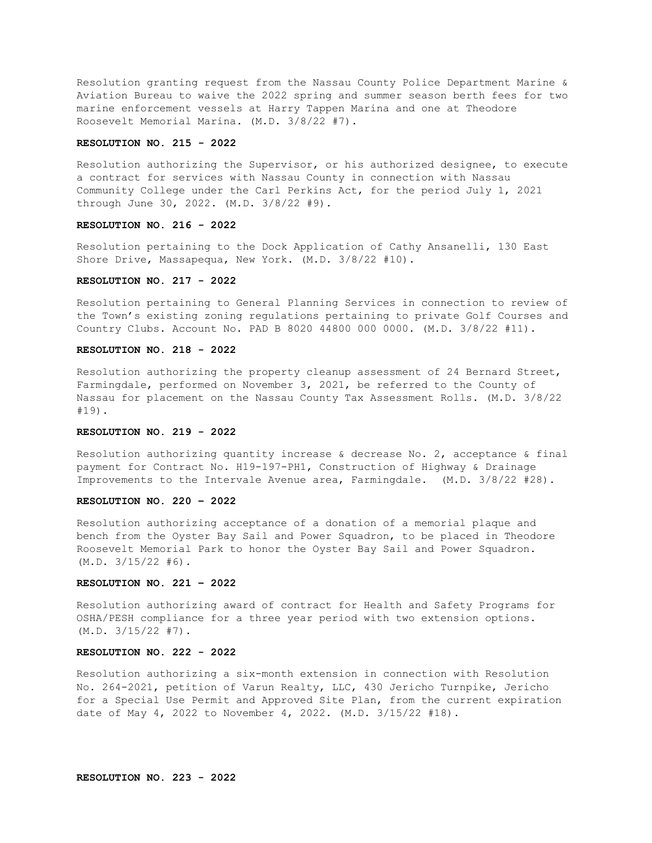Resolution granting request from the Nassau County Police Department Marine & Aviation Bureau to waive the 2022 spring and summer season berth fees for two marine enforcement vessels at Harry Tappen Marina and one at Theodore Roosevelt Memorial Marina. (M.D. 3/8/22 #7).

### **RESOLUTION NO. 215 - 2022**

Resolution authorizing the Supervisor, or his authorized designee, to execute a contract for services with Nassau County in connection with Nassau Community College under the Carl Perkins Act, for the period July 1, 2021 through June 30, 2022. (M.D. 3/8/22 #9).

#### **RESOLUTION NO. 216 - 2022**

Resolution pertaining to the Dock Application of Cathy Ansanelli, 130 East Shore Drive, Massapequa, New York. (M.D. 3/8/22 #10).

### **RESOLUTION NO. 217 - 2022**

Resolution pertaining to General Planning Services in connection to review of the Town's existing zoning regulations pertaining to private Golf Courses and Country Clubs. Account No. PAD B 8020 44800 000 0000. (M.D. 3/8/22 #11).

# **RESOLUTION NO. 218 - 2022**

Resolution authorizing the property cleanup assessment of 24 Bernard Street, Farmingdale, performed on November 3, 2021, be referred to the County of Nassau for placement on the Nassau County Tax Assessment Rolls. (M.D. 3/8/22 #19).

# **RESOLUTION NO. 219 - 2022**

Resolution authorizing quantity increase & decrease No. 2, acceptance & final payment for Contract No. H19-197-PH1, Construction of Highway & Drainage Improvements to the Intervale Avenue area, Farmingdale. (M.D. 3/8/22 #28).

### **RESOLUTION NO. 220 – 2022**

Resolution authorizing acceptance of a donation of a memorial plaque and bench from the Oyster Bay Sail and Power Squadron, to be placed in Theodore Roosevelt Memorial Park to honor the Oyster Bay Sail and Power Squadron. (M.D. 3/15/22 #6).

### **RESOLUTION NO. 221 – 2022**

Resolution authorizing award of contract for Health and Safety Programs for OSHA/PESH compliance for a three year period with two extension options. (M.D. 3/15/22 #7).

#### **RESOLUTION NO. 222 - 2022**

Resolution authorizing a six-month extension in connection with Resolution No. 264-2021, petition of Varun Realty, LLC, 430 Jericho Turnpike, Jericho for a Special Use Permit and Approved Site Plan, from the current expiration date of May 4, 2022 to November 4, 2022. (M.D. 3/15/22 #18).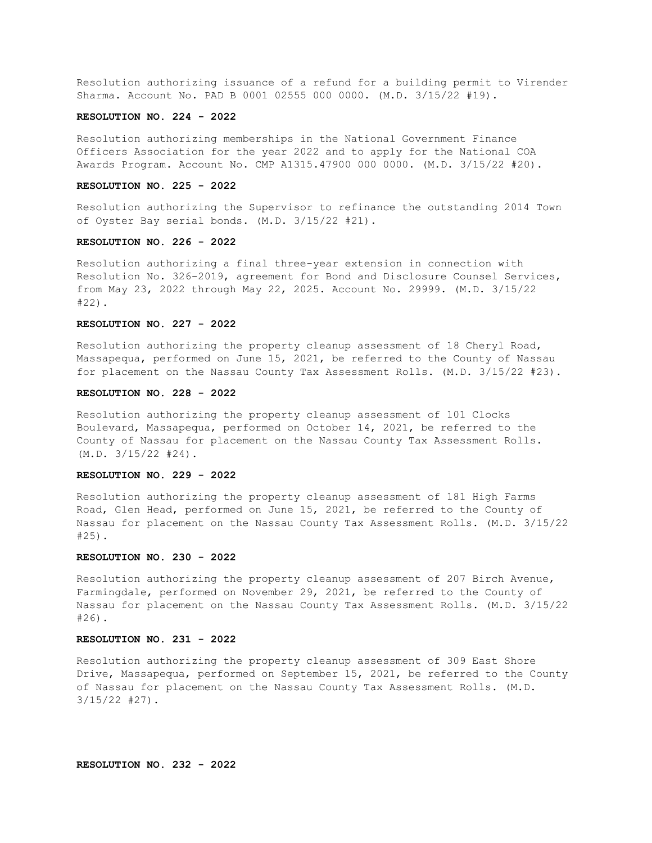Resolution authorizing issuance of a refund for a building permit to Virender Sharma. Account No. PAD B 0001 02555 000 0000. (M.D. 3/15/22 #19).

# **RESOLUTION NO. 224 - 2022**

Resolution authorizing memberships in the National Government Finance Officers Association for the year 2022 and to apply for the National COA Awards Program. Account No. CMP A1315.47900 000 0000. (M.D. 3/15/22 #20).

### **RESOLUTION NO. 225 - 2022**

Resolution authorizing the Supervisor to refinance the outstanding 2014 Town of Oyster Bay serial bonds. (M.D. 3/15/22 #21).

### **RESOLUTION NO. 226 - 2022**

Resolution authorizing a final three-year extension in connection with Resolution No. 326-2019, agreement for Bond and Disclosure Counsel Services, from May 23, 2022 through May 22, 2025. Account No. 29999. (M.D. 3/15/22 #22).

# **RESOLUTION NO. 227 - 2022**

Resolution authorizing the property cleanup assessment of 18 Cheryl Road, Massapequa, performed on June 15, 2021, be referred to the County of Nassau for placement on the Nassau County Tax Assessment Rolls. (M.D. 3/15/22 #23).

### **RESOLUTION NO. 228 - 2022**

Resolution authorizing the property cleanup assessment of 101 Clocks Boulevard, Massapequa, performed on October 14, 2021, be referred to the County of Nassau for placement on the Nassau County Tax Assessment Rolls. (M.D. 3/15/22 #24).

### **RESOLUTION NO. 229 - 2022**

Resolution authorizing the property cleanup assessment of 181 High Farms Road, Glen Head, performed on June 15, 2021, be referred to the County of Nassau for placement on the Nassau County Tax Assessment Rolls. (M.D. 3/15/22 #25).

# **RESOLUTION NO. 230 - 2022**

Resolution authorizing the property cleanup assessment of 207 Birch Avenue, Farmingdale, performed on November 29, 2021, be referred to the County of Nassau for placement on the Nassau County Tax Assessment Rolls. (M.D. 3/15/22 #26).

# **RESOLUTION NO. 231 - 2022**

Resolution authorizing the property cleanup assessment of 309 East Shore Drive, Massapequa, performed on September 15, 2021, be referred to the County of Nassau for placement on the Nassau County Tax Assessment Rolls. (M.D. 3/15/22 #27).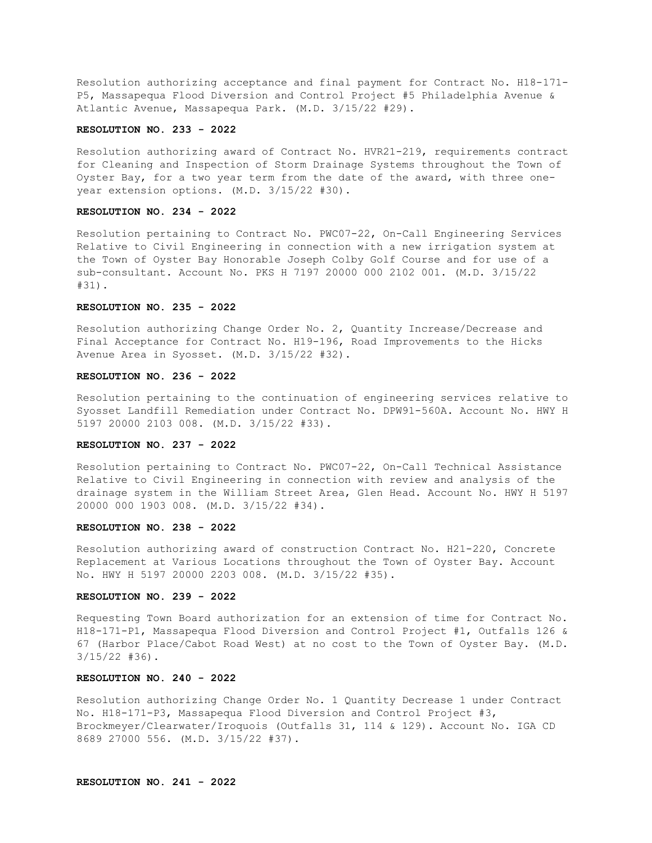Resolution authorizing acceptance and final payment for Contract No. H18-171- P5, Massapequa Flood Diversion and Control Project #5 Philadelphia Avenue & Atlantic Avenue, Massapequa Park. (M.D. 3/15/22 #29).

# **RESOLUTION NO. 233 - 2022**

Resolution authorizing award of Contract No. HVR21-219, requirements contract for Cleaning and Inspection of Storm Drainage Systems throughout the Town of Oyster Bay, for a two year term from the date of the award, with three oneyear extension options. (M.D. 3/15/22 #30).

# **RESOLUTION NO. 234 - 2022**

Resolution pertaining to Contract No. PWC07-22, On-Call Engineering Services Relative to Civil Engineering in connection with a new irrigation system at the Town of Oyster Bay Honorable Joseph Colby Golf Course and for use of a sub-consultant. Account No. PKS H 7197 20000 000 2102 001. (M.D. 3/15/22 #31).

#### **RESOLUTION NO. 235 - 2022**

Resolution authorizing Change Order No. 2, Quantity Increase/Decrease and Final Acceptance for Contract No. H19-196, Road Improvements to the Hicks Avenue Area in Syosset. (M.D. 3/15/22 #32).

## **RESOLUTION NO. 236 - 2022**

Resolution pertaining to the continuation of engineering services relative to Syosset Landfill Remediation under Contract No. DPW91-560A. Account No. HWY H 5197 20000 2103 008. (M.D. 3/15/22 #33).

# **RESOLUTION NO. 237 - 2022**

Resolution pertaining to Contract No. PWC07-22, On-Call Technical Assistance Relative to Civil Engineering in connection with review and analysis of the drainage system in the William Street Area, Glen Head. Account No. HWY H 5197 20000 000 1903 008. (M.D. 3/15/22 #34).

# **RESOLUTION NO. 238 - 2022**

Resolution authorizing award of construction Contract No. H21-220, Concrete Replacement at Various Locations throughout the Town of Oyster Bay. Account No. HWY H 5197 20000 2203 008. (M.D. 3/15/22 #35).

# **RESOLUTION NO. 239 - 2022**

Requesting Town Board authorization for an extension of time for Contract No. H18-171-P1, Massapequa Flood Diversion and Control Project #1, Outfalls 126 & 67 (Harbor Place/Cabot Road West) at no cost to the Town of Oyster Bay. (M.D. 3/15/22 #36).

# **RESOLUTION NO. 240 - 2022**

Resolution authorizing Change Order No. 1 Quantity Decrease 1 under Contract No. H18-171-P3, Massapequa Flood Diversion and Control Project #3, Brockmeyer/Clearwater/Iroquois (Outfalls 31, 114 & 129). Account No. IGA CD 8689 27000 556. (M.D. 3/15/22 #37).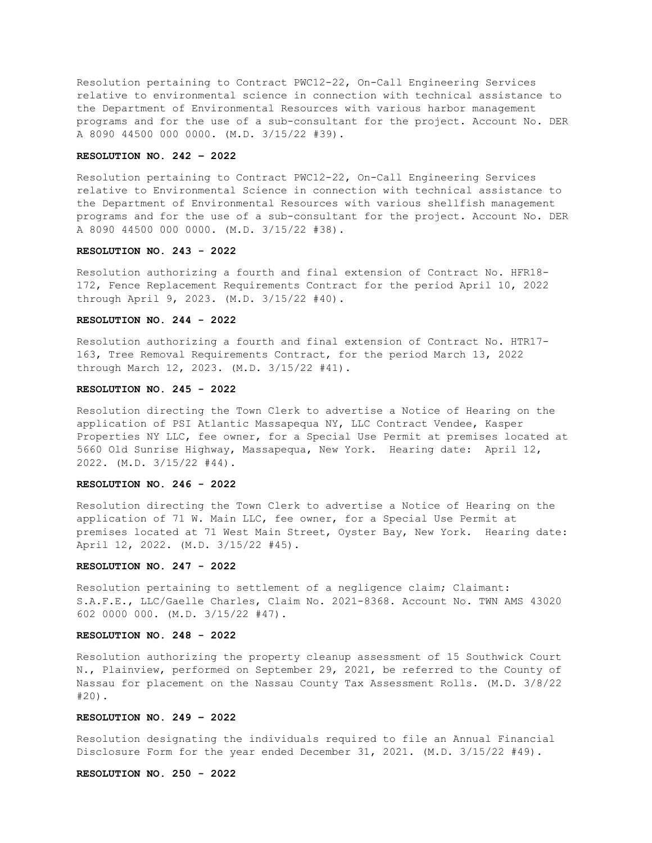Resolution pertaining to Contract PWC12-22, On-Call Engineering Services relative to environmental science in connection with technical assistance to the Department of Environmental Resources with various harbor management programs and for the use of a sub-consultant for the project. Account No. DER A 8090 44500 000 0000. (M.D. 3/15/22 #39).

## **RESOLUTION NO. 242 – 2022**

Resolution pertaining to Contract PWC12-22, On-Call Engineering Services relative to Environmental Science in connection with technical assistance to the Department of Environmental Resources with various shellfish management programs and for the use of a sub-consultant for the project. Account No. DER A 8090 44500 000 0000. (M.D. 3/15/22 #38).

# **RESOLUTION NO. 243 - 2022**

Resolution authorizing a fourth and final extension of Contract No. HFR18- 172, Fence Replacement Requirements Contract for the period April 10, 2022 through April 9, 2023. (M.D. 3/15/22 #40).

# **RESOLUTION NO. 244 - 2022**

Resolution authorizing a fourth and final extension of Contract No. HTR17- 163, Tree Removal Requirements Contract, for the period March 13, 2022 through March 12, 2023. (M.D. 3/15/22 #41).

## **RESOLUTION NO. 245 - 2022**

Resolution directing the Town Clerk to advertise a Notice of Hearing on the application of PSI Atlantic Massapequa NY, LLC Contract Vendee, Kasper Properties NY LLC, fee owner, for a Special Use Permit at premises located at 5660 Old Sunrise Highway, Massapequa, New York. Hearing date: April 12, 2022. (M.D. 3/15/22 #44).

### **RESOLUTION NO. 246 - 2022**

Resolution directing the Town Clerk to advertise a Notice of Hearing on the application of 71 W. Main LLC, fee owner, for a Special Use Permit at premises located at 71 West Main Street, Oyster Bay, New York. Hearing date: April 12, 2022. (M.D. 3/15/22 #45).

#### **RESOLUTION NO. 247 - 2022**

Resolution pertaining to settlement of a negligence claim; Claimant: S.A.F.E., LLC/Gaelle Charles, Claim No. 2021-8368. Account No. TWN AMS 43020 602 0000 000. (M.D. 3/15/22 #47).

### **RESOLUTION NO. 248 - 2022**

Resolution authorizing the property cleanup assessment of 15 Southwick Court N., Plainview, performed on September 29, 2021, be referred to the County of Nassau for placement on the Nassau County Tax Assessment Rolls. (M.D. 3/8/22 #20).

## **RESOLUTION NO. 249 – 2022**

Resolution designating the individuals required to file an Annual Financial Disclosure Form for the year ended December 31, 2021. (M.D. 3/15/22 #49).

# **RESOLUTION NO. 250 - 2022**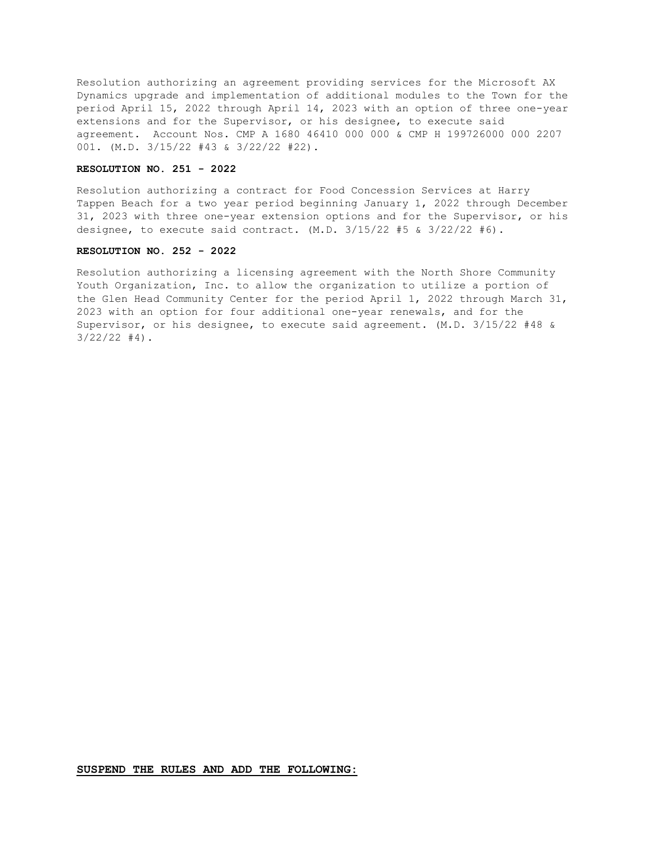Resolution authorizing an agreement providing services for the Microsoft AX Dynamics upgrade and implementation of additional modules to the Town for the period April 15, 2022 through April 14, 2023 with an option of three one-year extensions and for the Supervisor, or his designee, to execute said agreement. Account Nos. CMP A 1680 46410 000 000 & CMP H 199726000 000 2207 001. (M.D. 3/15/22 #43 & 3/22/22 #22).

# **RESOLUTION NO. 251 - 2022**

Resolution authorizing a contract for Food Concession Services at Harry Tappen Beach for a two year period beginning January 1, 2022 through December 31, 2023 with three one-year extension options and for the Supervisor, or his designee, to execute said contract.  $(M.D. 3/15/22 #5 & 3/22/22 #6)$ .

# **RESOLUTION NO. 252 - 2022**

Resolution authorizing a licensing agreement with the North Shore Community Youth Organization, Inc. to allow the organization to utilize a portion of the Glen Head Community Center for the period April 1, 2022 through March 31, 2023 with an option for four additional one-year renewals, and for the Supervisor, or his designee, to execute said agreement. (M.D. 3/15/22 #48 &  $3/22/22$  #4).